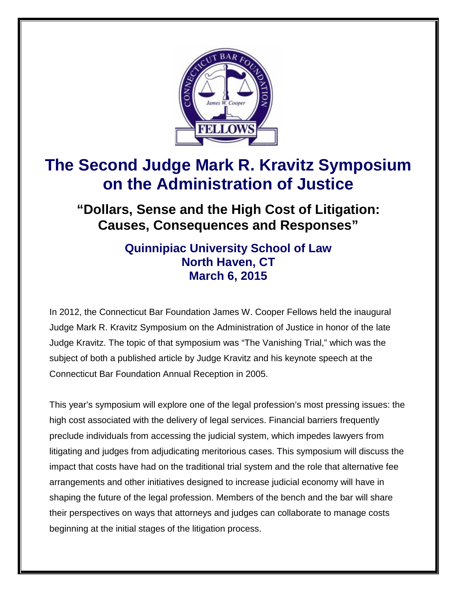

# **The Second Judge Mark R. Kravitz Symposium on the Administration of Justice**

**"Dollars, Sense and the High Cost of Litigation: Causes, Consequences and Responses"**

### **Quinnipiac University School of Law North Haven, CT March 6, 2015**

In 2012, the Connecticut Bar Foundation James W. Cooper Fellows held the inaugural Judge Mark R. Kravitz Symposium on the Administration of Justice in honor of the late Judge Kravitz. The topic of that symposium was "The Vanishing Trial," which was the subject of both a published article by Judge Kravitz and his keynote speech at the Connecticut Bar Foundation Annual Reception in 2005.

This year's symposium will explore one of the legal profession's most pressing issues: the high cost associated with the delivery of legal services. Financial barriers frequently preclude individuals from accessing the judicial system, which impedes lawyers from litigating and judges from adjudicating meritorious cases. This symposium will discuss the impact that costs have had on the traditional trial system and the role that alternative fee arrangements and other initiatives designed to increase judicial economy will have in shaping the future of the legal profession. Members of the bench and the bar will share their perspectives on ways that attorneys and judges can collaborate to manage costs beginning at the initial stages of the litigation process.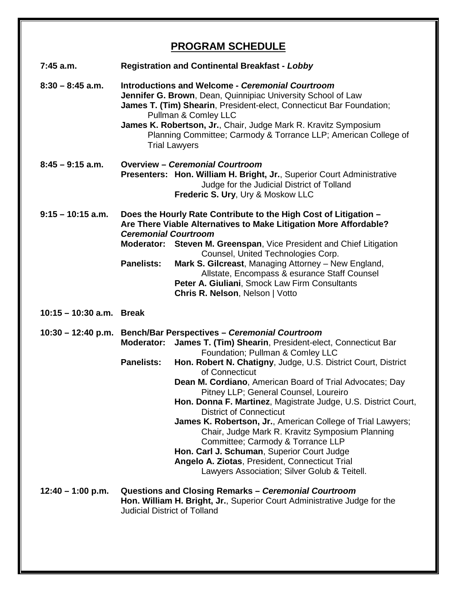## **PROGRAM SCHEDULE**

| $7:45$ a.m.              | <b>Registration and Continental Breakfast - Lobby</b>                                                                                                                                                                                                                                                                                                                                 |                                                                                                                                                                                                                                                                                                                                                                                                                                                                                                              |
|--------------------------|---------------------------------------------------------------------------------------------------------------------------------------------------------------------------------------------------------------------------------------------------------------------------------------------------------------------------------------------------------------------------------------|--------------------------------------------------------------------------------------------------------------------------------------------------------------------------------------------------------------------------------------------------------------------------------------------------------------------------------------------------------------------------------------------------------------------------------------------------------------------------------------------------------------|
| $8:30 - 8:45$ a.m.       | <b>Introductions and Welcome - Ceremonial Courtroom</b><br>Jennifer G. Brown, Dean, Quinnipiac University School of Law<br>James T. (Tim) Shearin, President-elect, Connecticut Bar Foundation;<br>Pullman & Comley LLC<br>James K. Robertson, Jr., Chair, Judge Mark R. Kravitz Symposium<br>Planning Committee; Carmody & Torrance LLP; American College of<br><b>Trial Lawyers</b> |                                                                                                                                                                                                                                                                                                                                                                                                                                                                                                              |
| $8:45 - 9:15$ a.m.       |                                                                                                                                                                                                                                                                                                                                                                                       | <b>Overview - Ceremonial Courtroom</b><br>Presenters: Hon. William H. Bright, Jr., Superior Court Administrative<br>Judge for the Judicial District of Tolland<br>Frederic S. Ury, Ury & Moskow LLC                                                                                                                                                                                                                                                                                                          |
| $9:15 - 10:15$ a.m.      | <b>Ceremonial Courtroom</b><br><b>Panelists:</b>                                                                                                                                                                                                                                                                                                                                      | Does the Hourly Rate Contribute to the High Cost of Litigation -<br>Are There Viable Alternatives to Make Litigation More Affordable?<br>Moderator: Steven M. Greenspan, Vice President and Chief Litigation<br>Counsel, United Technologies Corp.<br>Mark S. Gilcreast, Managing Attorney - New England,<br>Allstate, Encompass & esurance Staff Counsel<br>Peter A. Giuliani, Smock Law Firm Consultants<br>Chris R. Nelson, Nelson   Votto                                                                |
| 10:15 - 10:30 a.m. Break |                                                                                                                                                                                                                                                                                                                                                                                       |                                                                                                                                                                                                                                                                                                                                                                                                                                                                                                              |
|                          | <b>Moderator:</b><br><b>Panelists:</b>                                                                                                                                                                                                                                                                                                                                                | 10:30 - 12:40 p.m. Bench/Bar Perspectives - Ceremonial Courtroom<br>James T. (Tim) Shearin, President-elect, Connecticut Bar<br>Foundation; Pullman & Comley LLC<br>Hon. Robert N. Chatigny, Judge, U.S. District Court, District<br>of Connecticut                                                                                                                                                                                                                                                          |
|                          |                                                                                                                                                                                                                                                                                                                                                                                       | Dean M. Cordiano, American Board of Trial Advocates; Day<br>Pitney LLP; General Counsel, Loureiro<br>Hon. Donna F. Martinez, Magistrate Judge, U.S. District Court,<br><b>District of Connecticut</b><br>James K. Robertson, Jr., American College of Trial Lawyers;<br>Chair, Judge Mark R. Kravitz Symposium Planning<br>Committee; Carmody & Torrance LLP<br>Hon. Carl J. Schuman, Superior Court Judge<br>Angelo A. Ziotas, President, Connecticut Trial<br>Lawyers Association; Silver Golub & Teitell. |
| $12:40 - 1:00$ p.m.      | Questions and Closing Remarks - Ceremonial Courtroom<br>Hon. William H. Bright, Jr., Superior Court Administrative Judge for the<br><b>Judicial District of Tolland</b>                                                                                                                                                                                                               |                                                                                                                                                                                                                                                                                                                                                                                                                                                                                                              |